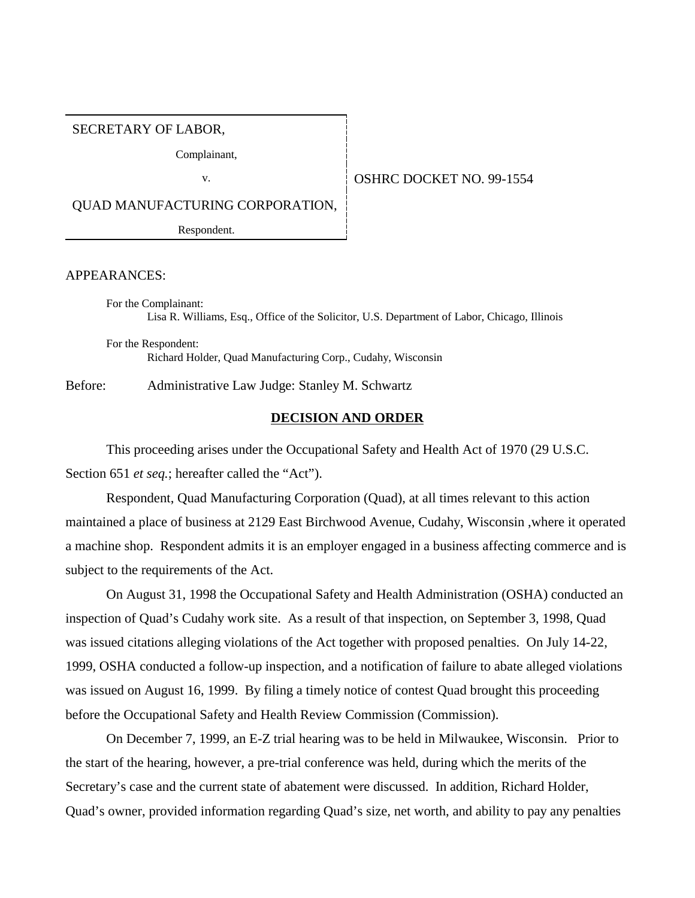SECRETARY OF LABOR,

Complainant,

#### v. **SEPTER SERVICE DOCKET NO. 99-1554**

QUAD MANUFACTURING CORPORATION,

Respondent.

#### APPEARANCES:

For the Complainant: Lisa R. Williams, Esq., Office of the Solicitor, U.S. Department of Labor, Chicago, Illinois

For the Respondent: Richard Holder, Quad Manufacturing Corp., Cudahy, Wisconsin

Before: Administrative Law Judge: Stanley M. Schwartz

### **DECISION AND ORDER**

This proceeding arises under the Occupational Safety and Health Act of 1970 (29 U.S.C. Section 651 *et seq.*; hereafter called the "Act").

Respondent, Quad Manufacturing Corporation (Quad), at all times relevant to this action maintained a place of business at 2129 East Birchwood Avenue, Cudahy, Wisconsin ,where it operated a machine shop. Respondent admits it is an employer engaged in a business affecting commerce and is subject to the requirements of the Act.

On August 31, 1998 the Occupational Safety and Health Administration (OSHA) conducted an inspection of Quad's Cudahy work site. As a result of that inspection, on September 3, 1998, Quad was issued citations alleging violations of the Act together with proposed penalties. On July 14-22, 1999, OSHA conducted a follow-up inspection, and a notification of failure to abate alleged violations was issued on August 16, 1999. By filing a timely notice of contest Quad brought this proceeding before the Occupational Safety and Health Review Commission (Commission).

On December 7, 1999, an E-Z trial hearing was to be held in Milwaukee, Wisconsin. Prior to the start of the hearing, however, a pre-trial conference was held, during which the merits of the Secretary's case and the current state of abatement were discussed. In addition, Richard Holder, Quad's owner, provided information regarding Quad's size, net worth, and ability to pay any penalties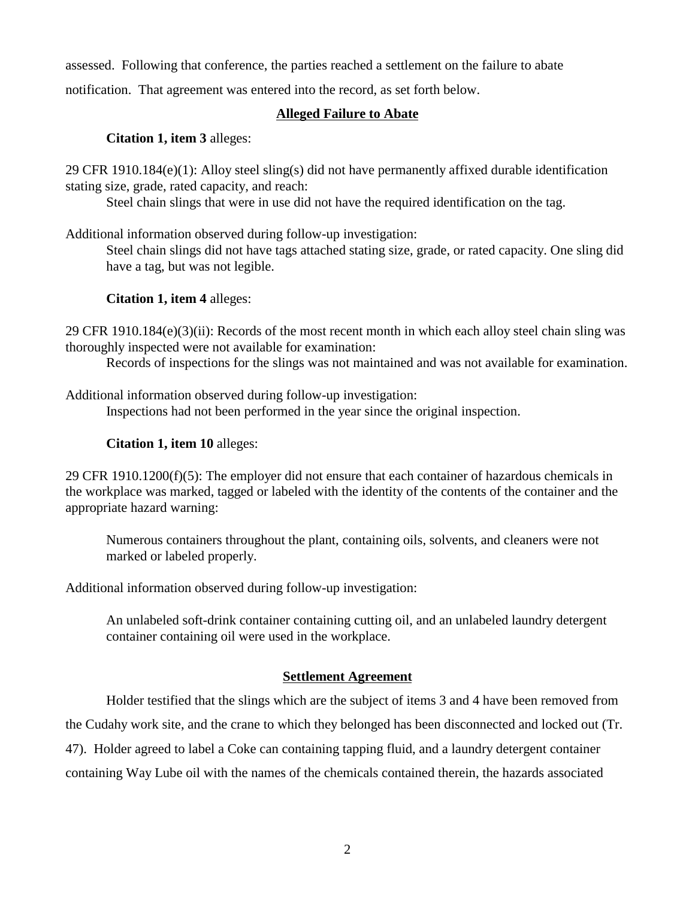assessed. Following that conference, the parties reached a settlement on the failure to abate

notification. That agreement was entered into the record, as set forth below.

### **Alleged Failure to Abate**

## **Citation 1, item 3** alleges:

29 CFR 1910.184(e)(1): Alloy steel sling(s) did not have permanently affixed durable identification stating size, grade, rated capacity, and reach:

Steel chain slings that were in use did not have the required identification on the tag.

Additional information observed during follow-up investigation:

Steel chain slings did not have tags attached stating size, grade, or rated capacity. One sling did have a tag, but was not legible.

## **Citation 1, item 4** alleges:

29 CFR 1910.184(e)(3)(ii): Records of the most recent month in which each alloy steel chain sling was thoroughly inspected were not available for examination:

Records of inspections for the slings was not maintained and was not available for examination.

Additional information observed during follow-up investigation: Inspections had not been performed in the year since the original inspection.

## **Citation 1, item 10** alleges:

29 CFR 1910.1200(f)(5): The employer did not ensure that each container of hazardous chemicals in the workplace was marked, tagged or labeled with the identity of the contents of the container and the appropriate hazard warning:

Numerous containers throughout the plant, containing oils, solvents, and cleaners were not marked or labeled properly.

Additional information observed during follow-up investigation:

An unlabeled soft-drink container containing cutting oil, and an unlabeled laundry detergent container containing oil were used in the workplace.

# **Settlement Agreement**

Holder testified that the slings which are the subject of items 3 and 4 have been removed from the Cudahy work site, and the crane to which they belonged has been disconnected and locked out (Tr. 47). Holder agreed to label a Coke can containing tapping fluid, and a laundry detergent container containing Way Lube oil with the names of the chemicals contained therein, the hazards associated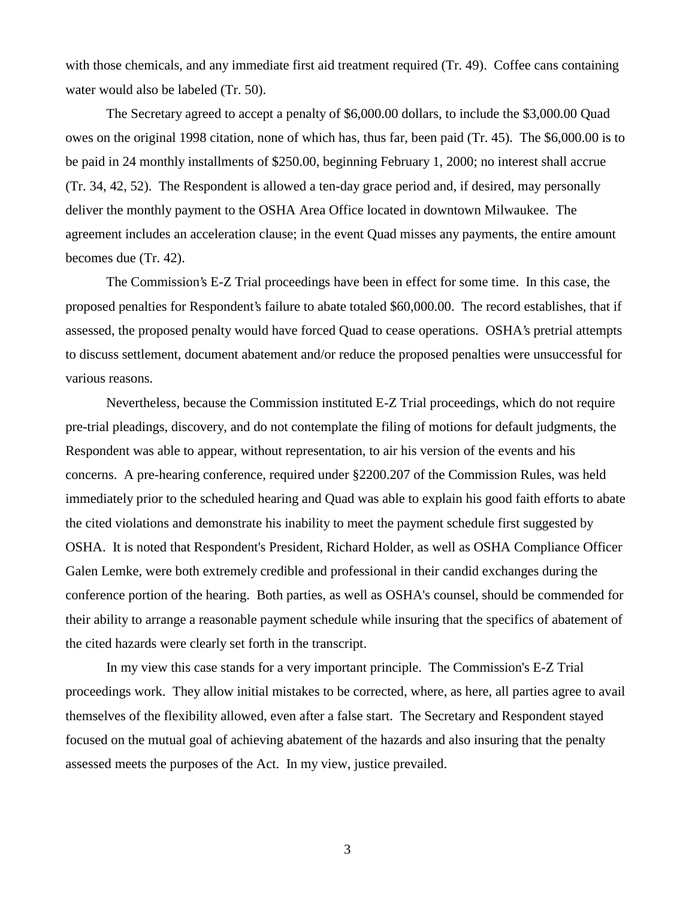with those chemicals, and any immediate first aid treatment required (Tr. 49). Coffee cans containing water would also be labeled (Tr. 50).

The Secretary agreed to accept a penalty of \$6,000.00 dollars, to include the \$3,000.00 Quad owes on the original 1998 citation, none of which has, thus far, been paid (Tr. 45). The \$6,000.00 is to be paid in 24 monthly installments of \$250.00, beginning February 1, 2000; no interest shall accrue (Tr. 34, 42, 52). The Respondent is allowed a ten-day grace period and, if desired, may personally deliver the monthly payment to the OSHA Area Office located in downtown Milwaukee. The agreement includes an acceleration clause; in the event Quad misses any payments, the entire amount becomes due (Tr. 42).

The Commission's E-Z Trial proceedings have been in effect for some time. In this case, the proposed penalties for Respondent's failure to abate totaled \$60,000.00. The record establishes, that if assessed, the proposed penalty would have forced Quad to cease operations. OSHA's pretrial attempts to discuss settlement, document abatement and/or reduce the proposed penalties were unsuccessful for various reasons.

Nevertheless, because the Commission instituted E-Z Trial proceedings, which do not require pre-trial pleadings, discovery, and do not contemplate the filing of motions for default judgments, the Respondent was able to appear, without representation, to air his version of the events and his concerns. A pre-hearing conference, required under §2200.207 of the Commission Rules, was held immediately prior to the scheduled hearing and Quad was able to explain his good faith efforts to abate the cited violations and demonstrate his inability to meet the payment schedule first suggested by OSHA. It is noted that Respondent's President, Richard Holder, as well as OSHA Compliance Officer Galen Lemke, were both extremely credible and professional in their candid exchanges during the conference portion of the hearing. Both parties, as well as OSHA's counsel, should be commended for their ability to arrange a reasonable payment schedule while insuring that the specifics of abatement of the cited hazards were clearly set forth in the transcript.

In my view this case stands for a very important principle. The Commission's E-Z Trial proceedings work. They allow initial mistakes to be corrected, where, as here, all parties agree to avail themselves of the flexibility allowed, even after a false start. The Secretary and Respondent stayed focused on the mutual goal of achieving abatement of the hazards and also insuring that the penalty assessed meets the purposes of the Act. In my view, justice prevailed.

3